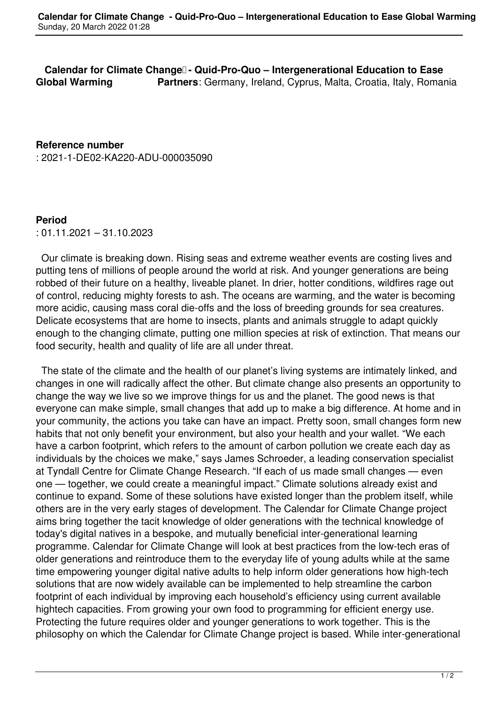**Calendar for Climate Change - Quid-Pro-Quo - Intergenerational Education to Ease Global Warming Partners**: Germany, Ireland, Cyprus, Malta, Croatia, Italy, Romania

**Reference number** : 2021-1-DE02-KA220-ADU-000035090

## **Period**

: 01.11.2021 – 31.10.2023

 Our climate is breaking down. Rising seas and extreme weather events are costing lives and putting tens of millions of people around the world at risk. And younger generations are being robbed of their future on a healthy, liveable planet. In drier, hotter conditions, wildfires rage out of control, reducing mighty forests to ash. The oceans are warming, and the water is becoming more acidic, causing mass coral die-offs and the loss of breeding grounds for sea creatures. Delicate ecosystems that are home to insects, plants and animals struggle to adapt quickly enough to the changing climate, putting one million species at risk of extinction. That means our food security, health and quality of life are all under threat.

 The state of the climate and the health of our planet's living systems are intimately linked, and changes in one will radically affect the other. But climate change also presents an opportunity to change the way we live so we improve things for us and the planet. The good news is that everyone can make simple, small changes that add up to make a big difference. At home and in your community, the actions you take can have an impact. Pretty soon, small changes form new habits that not only benefit your environment, but also your health and your wallet. "We each have a carbon footprint, which refers to the amount of carbon pollution we create each day as individuals by the choices we make," says James Schroeder, a leading conservation specialist at Tyndall Centre for Climate Change Research. "If each of us made small changes — even one — together, we could create a meaningful impact." Climate solutions already exist and continue to expand. Some of these solutions have existed longer than the problem itself, while others are in the very early stages of development. The Calendar for Climate Change project aims bring together the tacit knowledge of older generations with the technical knowledge of today's digital natives in a bespoke, and mutually beneficial inter-generational learning programme. Calendar for Climate Change will look at best practices from the low-tech eras of older generations and reintroduce them to the everyday life of young adults while at the same time empowering younger digital native adults to help inform older generations how high-tech solutions that are now widely available can be implemented to help streamline the carbon footprint of each individual by improving each household's efficiency using current available hightech capacities. From growing your own food to programming for efficient energy use. Protecting the future requires older and younger generations to work together. This is the philosophy on which the Calendar for Climate Change project is based. While inter-generational